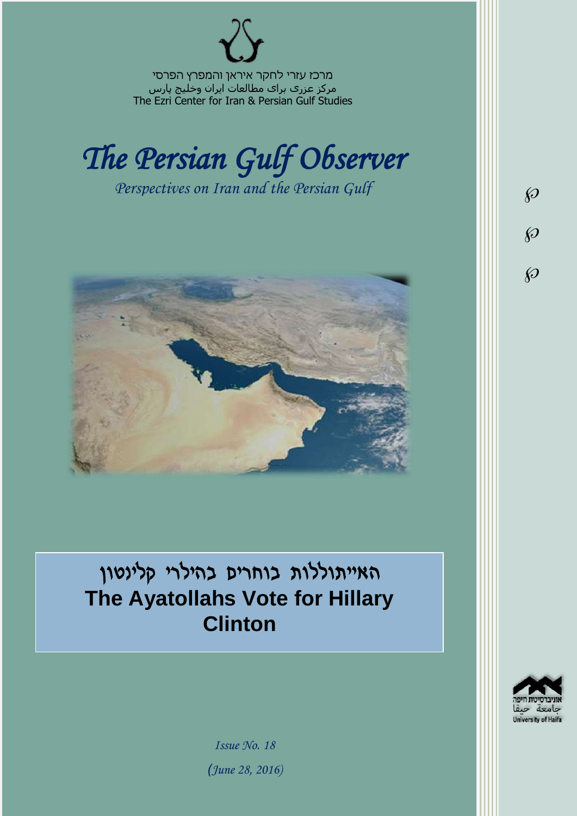מרכז עזרי לחקר איראן והמפרץ הפרסי مرکز عزری برای مطالعات ایران وخلیج پارس The Ezri Center for Iran & Persian Gulf Studies



*Perspectives on Iran and the Persian Gulf* 



האייתוללות בוחרים בהילרי קלינטון **The Ayatollahs Vote for Hillary Clinton**



 $\wp$ 

 $\wp$ 

 $\wp$ 

*Issue No. 18 )June 28, 2016)*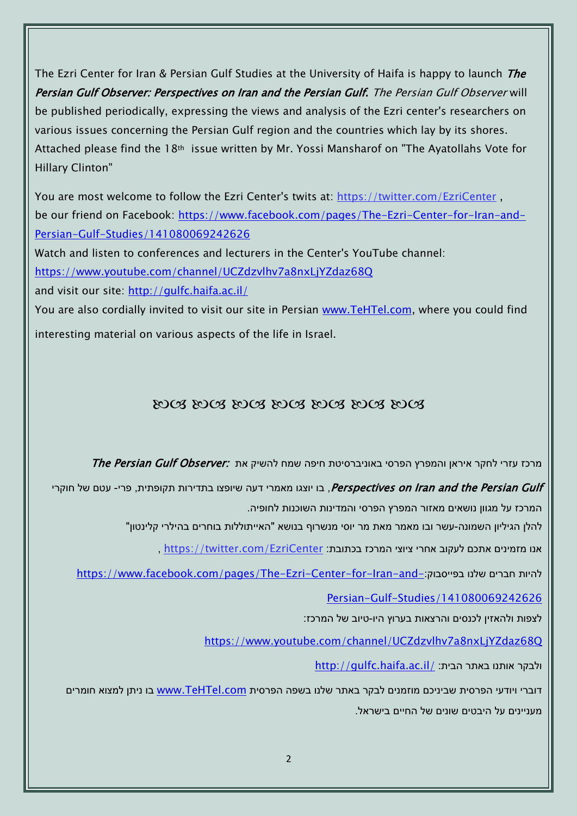The Ezri Center for Iran & Persian Gulf Studies at the University of Haifa is happy to launch *The* Persian Gulf Observer: Perspectives on Iran and the Persian Gulf. The Persian Gulf Observer will be published periodically, expressing the views and analysis of the Ezri center's researchers on various issues concerning the Persian Gulf region and the countries which lay by its shores. Attached please find the 18th issue written by Mr. Yossi Mansharof on "The Ayatollahs Vote for Hillary Clinton"

You are most welcome to follow the Ezri Center's twits at: <https://twitter.com/EzriCenter> , be our friend on Facebook: [https://www.facebook.com/pages/The-Ezri-Center-for-Iran-and-](https://www.facebook.com/pages/The-Ezri-Center-for-Iran-and-Persian-Gulf-Studies/141080069242626)[Persian-Gulf-Studies/141080069242626](https://www.facebook.com/pages/The-Ezri-Center-for-Iran-and-Persian-Gulf-Studies/141080069242626)

Watch and listen to conferences and lecturers in the Center's YouTube channel:

<https://www.youtube.com/channel/UCZdzvlhv7a8nxLjYZdaz68Q>

and visit our site:<http://gulfc.haifa.ac.il/>

You are also cordially invited to visit our site in Persian [www.TeHTel.com,](http://www.tehtel.com/) where you could find interesting material on various aspects of the life in Israel.

## DOG DOG DOG DOG DOG DOG DOG

תרכז עזרי לחקר איראן והמפרץ הפרסי באוניברסיטת חיפה שמח להשיק את :*The Persian Gulf Observer* 

Perspectives on Iran and the Persian Gulf, בו יוצגו מאמרי דעה שיופצו בתדירות תקופתית, פרי- עטם של חוקרי המרכז על מגוון נושאים מאזור המפרץ הפרסי והמדינות השוכנות לחופיה.

להלן הגיליון השמונה-עשר ובו מאמר מאת מר יוסי מנשרוף בנושא "האייתוללות בוחרים בהילרי קלינטון"

אנו מזמינים אתכם לעקוב אחרי ציוצי המרכז בכתובת: [EzriCenter/com.twitter://https](https://twitter.com/EzriCenter) ,

[https://www.facebook.com/pages/The-Ezri-Center-for-Iran-and-](https://www.facebook.com/pages/The-Ezri-Center-for-Iran-and-Persian-Gulf-Studies/141080069242626):כהיות חברים שלנו בפייסבוק

[Persian-Gulf-Studies/141080069242626](https://www.facebook.com/pages/The-Ezri-Center-for-Iran-and-Persian-Gulf-Studies/141080069242626)

לצפות ולהאזין לכנסים והרצאות בערוץ היו-טיוב של המרכז:

<https://www.youtube.com/channel/UCZdzvlhv7a8nxLjYZdaz68Q>

<http://gulfc.haifa.ac.il/> ולבקר אותנו באתר הבית

דוברי ויודעי הפרסית שביניכם מוזמנים לבקר באתר שלנו בשפה הפרסית [com.TeHTel.www](http://www.tehtel.com/) בו ניתן למצוא חומרים מעניינים על היבטים שונים של החיים בישראל.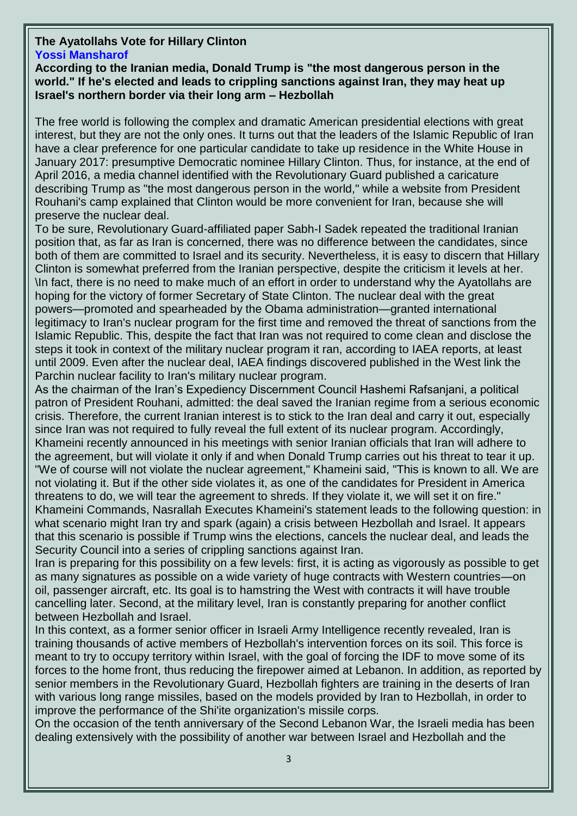## **The Ayatollahs Vote for Hillary Clinton [Yossi Mansharof](http://mida.org.il/author/yosefmanshrouf/)**

**According to the Iranian media, Donald Trump is "the most dangerous person in the world." If he's elected and leads to crippling sanctions against Iran, they may heat up Israel's northern border via their long arm – Hezbollah**

The free world is following the complex and dramatic American presidential elections with great interest, but they are not the only ones. It turns out that the leaders of the Islamic Republic of Iran have a clear preference for one particular candidate to take up residence in the White House in January 2017: presumptive Democratic nominee Hillary Clinton. Thus, for instance, at the end of April 2016, a media channel identified with the Revolutionary Guard published a caricature describing Trump as "the most dangerous person in the world," while a website from President Rouhani's camp explained that Clinton would be more convenient for Iran, because she will preserve the nuclear deal.

To be sure, Revolutionary Guard-affiliated paper Sabh-I Sadek repeated the traditional Iranian position that, as far as Iran is concerned, there was no difference between the candidates, since both of them are committed to Israel and its security. Nevertheless, it is easy to discern that Hillary Clinton is somewhat preferred from the Iranian perspective, despite the criticism it levels at her. \In fact, there is no need to make much of an effort in order to understand why the Ayatollahs are hoping for the victory of former Secretary of State Clinton. The nuclear deal with the great powers—promoted and spearheaded by the Obama administration—granted international legitimacy to Iran's nuclear program for the first time and removed the threat of sanctions from the Islamic Republic. This, despite the fact that Iran was not required to come clean and disclose the steps it took in context of the military nuclear program it ran, according to IAEA reports, at least until 2009. Even after the nuclear deal, IAEA findings discovered published in the West link the Parchin nuclear facility to Iran's military nuclear program.

As the chairman of the Iran's Expediency Discernment Council Hashemi Rafsanjani, a political patron of President Rouhani, admitted: the deal saved the Iranian regime from a serious economic crisis. Therefore, the current Iranian interest is to stick to the Iran deal and carry it out, especially since Iran was not required to fully reveal the full extent of its nuclear program. Accordingly, Khameini recently announced in his meetings with senior Iranian officials that Iran will adhere to the agreement, but will violate it only if and when Donald Trump carries out his threat to tear it up. "We of course will not violate the nuclear agreement," Khameini said, "This is known to all. We are not violating it. But if the other side violates it, as one of the candidates for President in America threatens to do, we will tear the agreement to shreds. If they violate it, we will set it on fire." Khameini Commands, Nasrallah Executes Khameini's statement leads to the following question: in what scenario might Iran try and spark (again) a crisis between Hezbollah and Israel. It appears that this scenario is possible if Trump wins the elections, cancels the nuclear deal, and leads the Security Council into a series of crippling sanctions against Iran.

Iran is preparing for this possibility on a few levels: first, it is acting as vigorously as possible to get as many signatures as possible on a wide variety of huge contracts with Western countries—on oil, passenger aircraft, etc. Its goal is to hamstring the West with contracts it will have trouble cancelling later. Second, at the military level, Iran is constantly preparing for another conflict between Hezbollah and Israel.

In this context, as a former senior officer in Israeli Army Intelligence recently revealed, Iran is training thousands of active members of Hezbollah's intervention forces on its soil. This force is meant to try to occupy territory within Israel, with the goal of forcing the IDF to move some of its forces to the home front, thus reducing the firepower aimed at Lebanon. In addition, as reported by senior members in the Revolutionary Guard, Hezbollah fighters are training in the deserts of Iran with various long range missiles, based on the models provided by Iran to Hezbollah, in order to improve the performance of the Shi'ite organization's missile corps.

On the occasion of the tenth anniversary of the Second Lebanon War, the Israeli media has been dealing extensively with the possibility of another war between Israel and Hezbollah and the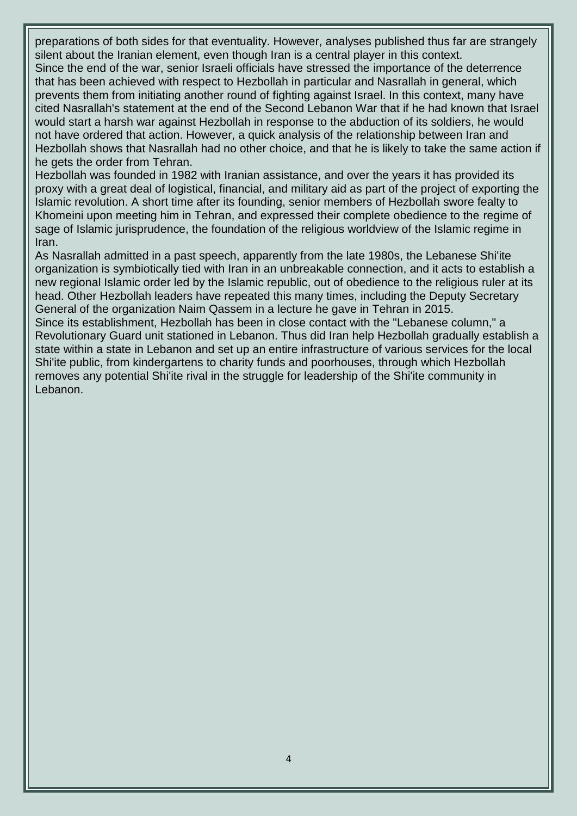preparations of both sides for that eventuality. However, analyses published thus far are strangely silent about the Iranian element, even though Iran is a central player in this context.

Since the end of the war, senior Israeli officials have stressed the importance of the deterrence that has been achieved with respect to Hezbollah in particular and Nasrallah in general, which prevents them from initiating another round of fighting against Israel. In this context, many have cited Nasrallah's statement at the end of the Second Lebanon War that if he had known that Israel would start a harsh war against Hezbollah in response to the abduction of its soldiers, he would not have ordered that action. However, a quick analysis of the relationship between Iran and Hezbollah shows that Nasrallah had no other choice, and that he is likely to take the same action if he gets the order from Tehran.

Hezbollah was founded in 1982 with Iranian assistance, and over the years it has provided its proxy with a great deal of logistical, financial, and military aid as part of the project of exporting the Islamic revolution. A short time after its founding, senior members of Hezbollah swore fealty to Khomeini upon meeting him in Tehran, and expressed their complete obedience to the regime of sage of Islamic jurisprudence, the foundation of the religious worldview of the Islamic regime in Iran.

As Nasrallah admitted in a past speech, apparently from the late 1980s, the Lebanese Shi'ite organization is symbiotically tied with Iran in an unbreakable connection, and it acts to establish a new regional Islamic order led by the Islamic republic, out of obedience to the religious ruler at its head. Other Hezbollah leaders have repeated this many times, including the Deputy Secretary General of the organization Naim Qassem in a lecture he gave in Tehran in 2015.

Since its establishment, Hezbollah has been in close contact with the "Lebanese column," a Revolutionary Guard unit stationed in Lebanon. Thus did Iran help Hezbollah gradually establish a state within a state in Lebanon and set up an entire infrastructure of various services for the local Shi'ite public, from kindergartens to charity funds and poorhouses, through which Hezbollah removes any potential Shi'ite rival in the struggle for leadership of the Shi'ite community in Lebanon.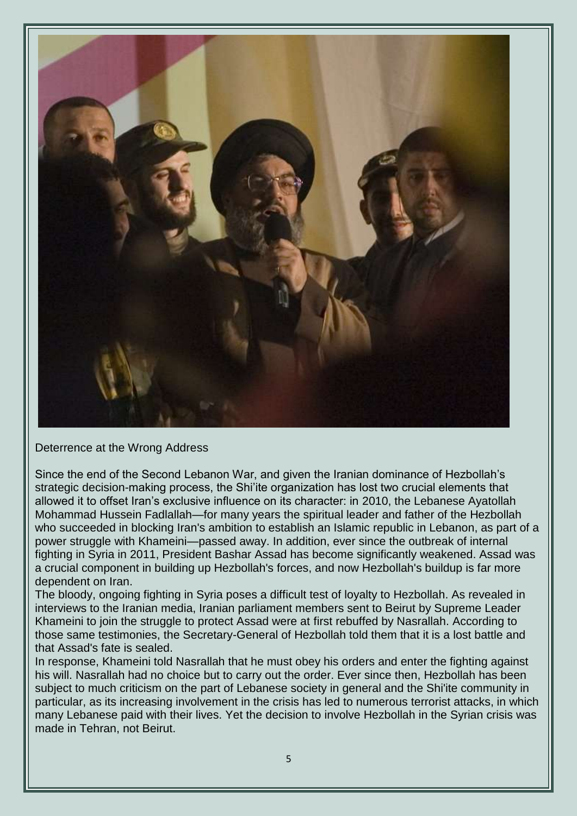

Deterrence at the Wrong Address

Since the end of the Second Lebanon War, and given the Iranian dominance of Hezbollah's strategic decision-making process, the Shi'ite organization has lost two crucial elements that allowed it to offset Iran's exclusive influence on its character: in 2010, the Lebanese Ayatollah Mohammad Hussein Fadlallah—for many years the spiritual leader and father of the Hezbollah who succeeded in blocking Iran's ambition to establish an Islamic republic in Lebanon, as part of a power struggle with Khameini—passed away. In addition, ever since the outbreak of internal fighting in Syria in 2011, President Bashar Assad has become significantly weakened. Assad was a crucial component in building up Hezbollah's forces, and now Hezbollah's buildup is far more dependent on Iran.

The bloody, ongoing fighting in Syria poses a difficult test of loyalty to Hezbollah. As revealed in interviews to the Iranian media, Iranian parliament members sent to Beirut by Supreme Leader Khameini to join the struggle to protect Assad were at first rebuffed by Nasrallah. According to those same testimonies, the Secretary-General of Hezbollah told them that it is a lost battle and that Assad's fate is sealed.

In response, Khameini told Nasrallah that he must obey his orders and enter the fighting against his will. Nasrallah had no choice but to carry out the order. Ever since then, Hezbollah has been subject to much criticism on the part of Lebanese society in general and the Shi'ite community in particular, as its increasing involvement in the crisis has led to numerous terrorist attacks, in which many Lebanese paid with their lives. Yet the decision to involve Hezbollah in the Syrian crisis was made in Tehran, not Beirut.